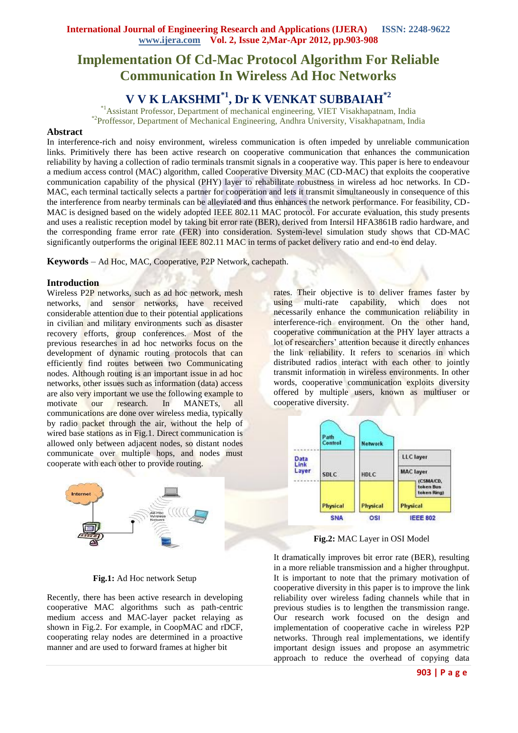# **Implementation Of Cd-Mac Protocol Algorithm For Reliable Communication In Wireless Ad Hoc Networks**

## **V V K LAKSHMI\*1, Dr K VENKAT SUBBAIAH\*2**

\*1Assistant Professor, Department of mechanical engineering, VIET Visakhapatnam, India \*2Proffessor, Department of Mechanical Engineering, Andhra University, Visakhapatnam, India

## **Abstract**

In interference-rich and noisy environment, wireless communication is often impeded by unreliable communication links. Primitively there has been active research on cooperative communication that enhances the communication reliability by having a collection of radio terminals transmit signals in a cooperative way. This paper is here to endeavour a medium access control (MAC) algorithm, called Cooperative Diversity MAC (CD-MAC) that exploits the cooperative communication capability of the physical (PHY) layer to rehabilitate robustness in wireless ad hoc networks. In CD-MAC, each terminal tactically selects a partner for cooperation and lets it transmit simultaneously in consequence of this the interference from nearby terminals can be alleviated and thus enhances the network performance. For feasibility, CD-MAC is designed based on the widely adopted IEEE 802.11 MAC protocol. For accurate evaluation, this study presents and uses a realistic reception model by taking bit error rate (BER), derived from Intersil HFA3861B radio hardware, and the corresponding frame error rate (FER) into consideration. System-level simulation study shows that CD-MAC significantly outperforms the original IEEE 802.11 MAC in terms of packet delivery ratio and end-to end delay.

**Keywords** – Ad Hoc, MAC, Cooperative, P2P Network, cachepath.

## **Introduction**

Wireless P2P networks, such as ad hoc network, mesh networks, and sensor networks, have received considerable attention due to their potential applications in civilian and military environments such as disaster recovery efforts, group conferences. Most of the previous researches in ad hoc networks focus on the development of dynamic routing protocols that can efficiently find routes between two Communicating nodes. Although routing is an important issue in ad hoc networks, other issues such as information (data) access are also very important we use the following example to motivate our research. In MANETs, all communications are done over wireless media, typically by radio packet through the air, without the help of wired base stations as in Fig.1. Direct communication is allowed only between adjacent nodes, so distant nodes communicate over multiple hops, and nodes must cooperate with each other to provide routing.



**Fig.1:** Ad Hoc network Setup

Recently, there has been active research in developing cooperative MAC algorithms such as path-centric medium access and MAC-layer packet relaying as shown in Fig.2. For example, in CoopMAC and rDCF, cooperating relay nodes are determined in a proactive manner and are used to forward frames at higher bit

rates. Their objective is to deliver frames faster by using multi-rate capability, which does not necessarily enhance the communication reliability in interference-rich environment. On the other hand, cooperative communication at the PHY layer attracts a lot of researchers' attention because it directly enhances the link reliability. It refers to scenarios in which distributed radios interact with each other to jointly transmit information in wireless environments. In other words, cooperative communication exploits diversity offered by multiple users, known as multiuser or cooperative diversity.



**Fig.2:** MAC Layer in OSI Model

It dramatically improves bit error rate (BER), resulting in a more reliable transmission and a higher throughput. It is important to note that the primary motivation of cooperative diversity in this paper is to improve the link reliability over wireless fading channels while that in previous studies is to lengthen the transmission range. Our research work focused on the design and implementation of cooperative cache in wireless P2P networks. Through real implementations, we identify important design issues and propose an asymmetric approach to reduce the overhead of copying data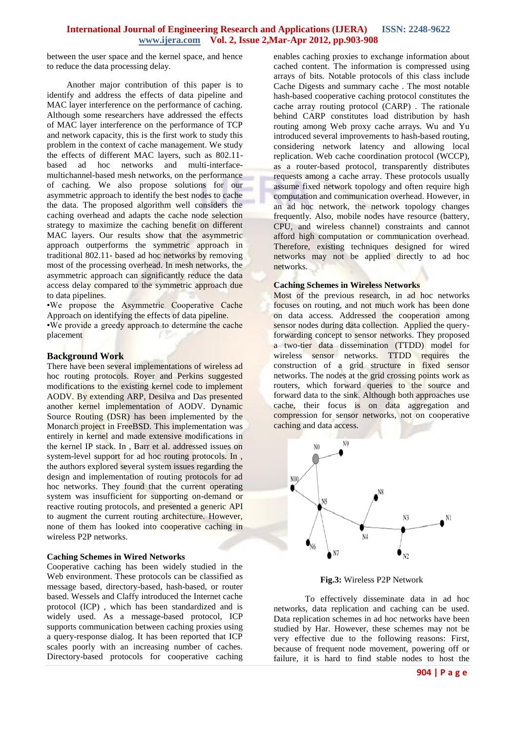between the user space and the kernel space, and hence to reduce the data processing delay.

 Another major contribution of this paper is to identify and address the effects of data pipeline and MAC layer interference on the performance of caching. Although some researchers have addressed the effects of MAC layer interference on the performance of TCP and network capacity, this is the first work to study this problem in the context of cache management. We study the effects of different MAC layers, such as 802.11 based ad hoc networks and multi-interfacemultichannel-based mesh networks, on the performance of caching. We also propose solutions for our asymmetric approach to identify the best nodes to cache the data. The proposed algorithm well considers the caching overhead and adapts the cache node selection strategy to maximize the caching benefit on different MAC layers. Our results show that the asymmetric approach outperforms the symmetric approach in traditional 802.11- based ad hoc networks by removing most of the processing overhead. In mesh networks, the asymmetric approach can significantly reduce the data access delay compared to the symmetric approach due to data pipelines.

•We propose the Asymmetric Cooperative Cache Approach on identifying the effects of data pipeline.

•We provide a greedy approach to determine the cache placement

## **Background Work**

There have been several implementations of wireless ad hoc routing protocols. Royer and Perkins suggested modifications to the existing kernel code to implement AODV. By extending ARP, Desilva and Das presented another kernel implementation of AODV. Dynamic Source Routing (DSR) has been implemented by the Monarch project in FreeBSD. This implementation was entirely in kernel and made extensive modifications in the kernel IP stack. In , Barr et al. addressed issues on system-level support for ad hoc routing protocols. In , the authors explored several system issues regarding the design and implementation of routing protocols for ad hoc networks. They found that the current operating system was insufficient for supporting on-demand or reactive routing protocols, and presented a generic API to augment the current routing architecture. However, none of them has looked into cooperative caching in wireless P2P networks.

## **Caching Schemes in Wired Networks**

Cooperative caching has been widely studied in the Web environment. These protocols can be classified as message based, directory-based, hash-based, or router based. Wessels and Claffy introduced the Internet cache protocol (ICP) , which has been standardized and is widely used. As a message-based protocol, ICP supports communication between caching proxies using a query-response dialog. It has been reported that ICP scales poorly with an increasing number of caches. Directory-based protocols for cooperative caching enables caching proxies to exchange information about cached content. The information is compressed using arrays of bits. Notable protocols of this class include Cache Digests and summary cache . The most notable hash-based cooperative caching protocol constitutes the cache array routing protocol (CARP) . The rationale behind CARP constitutes load distribution by hash routing among Web proxy cache arrays. Wu and Yu introduced several improvements to hash-based routing, considering network latency and allowing local replication. Web cache coordination protocol (WCCP), as a router-based protocol, transparently distributes requests among a cache array. These protocols usually assume fixed network topology and often require high computation and communication overhead. However, in an ad hoc network, the network topology changes frequently. Also, mobile nodes have resource (battery, CPU, and wireless channel) constraints and cannot afford high computation or communication overhead. Therefore, existing techniques designed for wired networks may not be applied directly to ad hoc networks.

#### **Caching Schemes in Wireless Networks**

Most of the previous research, in ad hoc networks focuses on routing, and not much work has been done on data access. Addressed the cooperation among sensor nodes during data collection. Applied the queryforwarding concept to sensor networks. They proposed a two-tier data dissemination (TTDD) model for wireless sensor networks. TTDD requires the construction of a grid structure in fixed sensor networks. The nodes at the grid crossing points work as routers, which forward queries to the source and forward data to the sink. Although both approaches use cache, their focus is on data aggregation and compression for sensor networks, not on cooperative caching and data access.



**Fig.3:** Wireless P2P Network

To effectively disseminate data in ad hoc networks, data replication and caching can be used. Data replication schemes in ad hoc networks have been studied by Har. However, these schemes may not be very effective due to the following reasons: First, because of frequent node movement, powering off or failure, it is hard to find stable nodes to host the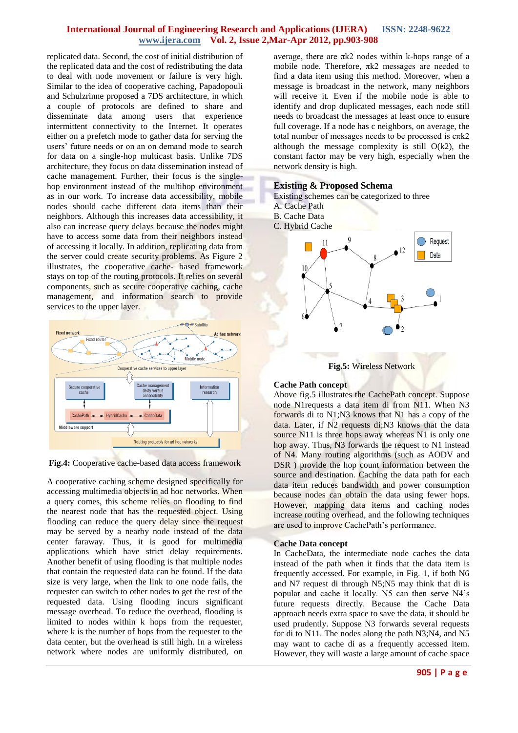replicated data. Second, the cost of initial distribution of the replicated data and the cost of redistributing the data to deal with node movement or failure is very high. Similar to the idea of cooperative caching, Papadopouli and Schulzrinne proposed a 7DS architecture, in which a couple of protocols are defined to share and disseminate data among users that experience intermittent connectivity to the Internet. It operates either on a prefetch mode to gather data for serving the users' future needs or on an on demand mode to search for data on a single-hop multicast basis. Unlike 7DS architecture, they focus on data dissemination instead of cache management. Further, their focus is the singlehop environment instead of the multihop environment as in our work. To increase data accessibility, mobile nodes should cache different data items than their neighbors. Although this increases data accessibility, it also can increase query delays because the nodes might have to access some data from their neighbors instead of accessing it locally. In addition, replicating data from the server could create security problems. As Figure 2 illustrates, the cooperative cache- based framework stays on top of the routing protocols. It relies on several components, such as secure cooperative caching, cache management, and information search to provide services to the upper layer.



**Fig.4:** Cooperative cache-based data access framework

A cooperative caching scheme designed specifically for accessing multimedia objects in ad hoc networks. When a query comes, this scheme relies on flooding to find the nearest node that has the requested object. Using flooding can reduce the query delay since the request may be served by a nearby node instead of the data center faraway. Thus, it is good for multimedia applications which have strict delay requirements. Another benefit of using flooding is that multiple nodes that contain the requested data can be found. If the data size is very large, when the link to one node fails, the requester can switch to other nodes to get the rest of the requested data. Using flooding incurs significant message overhead. To reduce the overhead, flooding is limited to nodes within k hops from the requester, where k is the number of hops from the requester to the data center, but the overhead is still high. In a wireless network where nodes are uniformly distributed, on average, there are  $πk2$  nodes within k-hops range of a mobile node. Therefore, πk2 messages are needed to find a data item using this method. Moreover, when a message is broadcast in the network, many neighbors will receive it. Even if the mobile node is able to identify and drop duplicated messages, each node still needs to broadcast the messages at least once to ensure full coverage. If a node has c neighbors, on average, the total number of messages needs to be processed is  $c\pi k2$ although the message complexity is still  $O(k2)$ , the constant factor may be very high, especially when the network density is high.

## **Existing & Proposed Schema**

- Existing schemes can be categorized to three
- A. Cache Path
- B. Cache Data
- C. Hybrid Cache



## **Cache Path concept**

Above fig.5 illustrates the CachePath concept. Suppose node N1requests a data item di from N11. When N3 forwards di to N1;N3 knows that N1 has a copy of the data. Later, if N2 requests di;N3 knows that the data source N11 is three hops away whereas N1 is only one hop away. Thus, N3 forwards the request to N1 instead of N4. Many routing algorithms (such as AODV and DSR ) provide the hop count information between the source and destination. Caching the data path for each data item reduces bandwidth and power consumption because nodes can obtain the data using fewer hops. However, mapping data items and caching nodes increase routing overhead, and the following techniques are used to improve CachePath's performance.

## **Cache Data concept**

In CacheData, the intermediate node caches the data instead of the path when it finds that the data item is frequently accessed. For example, in Fig. 1, if both N6 and N7 request di through N5;N5 may think that di is popular and cache it locally. N5 can then serve N4's future requests directly. Because the Cache Data approach needs extra space to save the data, it should be used prudently. Suppose N3 forwards several requests for di to N11. The nodes along the path N3;N4, and N5 may want to cache di as a frequently accessed item. However, they will waste a large amount of cache space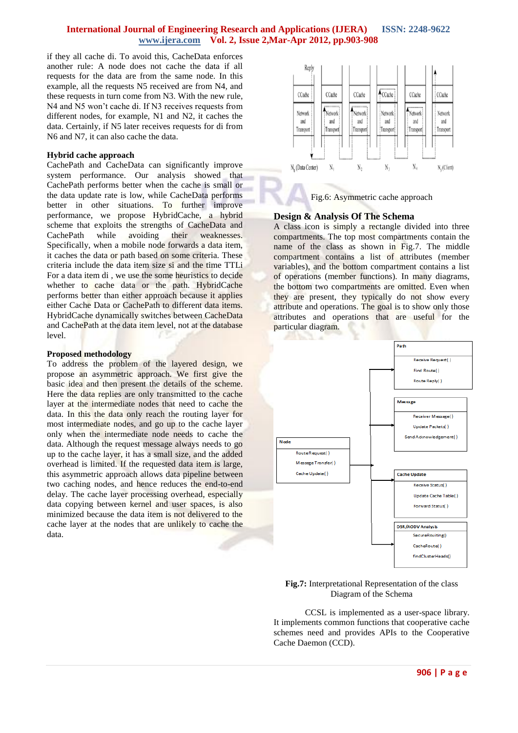if they all cache di. To avoid this, CacheData enforces another rule: A node does not cache the data if all requests for the data are from the same node. In this example, all the requests N5 received are from N4, and these requests in turn come from N3. With the new rule, N4 and N5 won't cache di. If N3 receives requests from different nodes, for example, N1 and N2, it caches the data. Certainly, if N5 later receives requests for di from N6 and N7, it can also cache the data.

#### **Hybrid cache approach**

CachePath and CacheData can significantly improve system performance. Our analysis showed that CachePath performs better when the cache is small or the data update rate is low, while CacheData performs better in other situations. To further improve performance, we propose HybridCache, a hybrid scheme that exploits the strengths of CacheData and CachePath while avoiding their weaknesses. Specifically, when a mobile node forwards a data item, it caches the data or path based on some criteria. These criteria include the data item size si and the time TTLi For a data item di , we use the some heuristics to decide whether to cache data or the path. HybridCache performs better than either approach because it applies either Cache Data or CachePath to different data items. HybridCache dynamically switches between CacheData and CachePath at the data item level, not at the database level.

#### **Proposed methodology**

To address the problem of the layered design, we propose an asymmetric approach. We first give the basic idea and then present the details of the scheme. Here the data replies are only transmitted to the cache layer at the intermediate nodes that need to cache the data. In this the data only reach the routing layer for most intermediate nodes, and go up to the cache layer only when the intermediate node needs to cache the data. Although the request message always needs to go up to the cache layer, it has a small size, and the added overhead is limited. If the requested data item is large, this asymmetric approach allows data pipeline between two caching nodes, and hence reduces the end-to-end delay. The cache layer processing overhead, especially data copying between kernel and user spaces, is also minimized because the data item is not delivered to the cache layer at the nodes that are unlikely to cache the data.



Fig.6: Asymmetric cache approach

## **Design & Analysis Of The Schema**

A class icon is simply a rectangle divided into three compartments. The top most compartments contain the name of the class as shown in Fig.7. The middle compartment contains a list of attributes (member variables), and the bottom compartment contains a list of operations (member functions). In many diagrams, the bottom two compartments are omitted. Even when they are present, they typically do not show every attribute and operations. The goal is to show only those attributes and operations that are useful for the particular diagram.



#### **Fig.7:** Interpretational Representation of the class Diagram of the Schema

CCSL is implemented as a user-space library. It implements common functions that cooperative cache schemes need and provides APIs to the Cooperative Cache Daemon (CCD).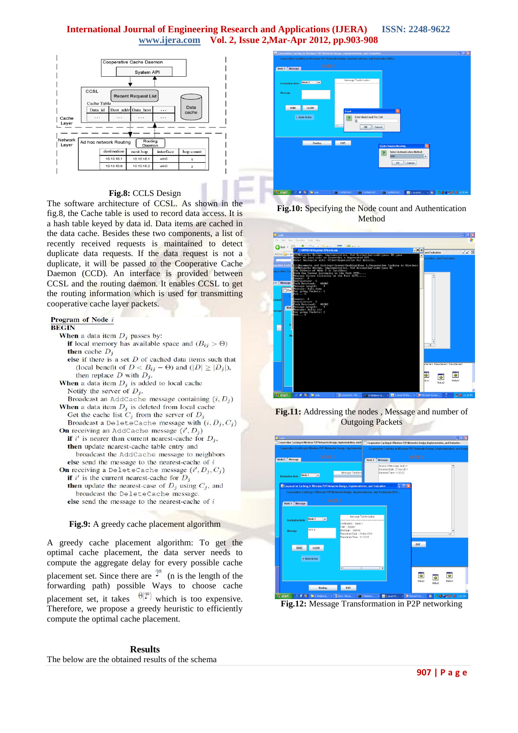

## **Fig.8:** CCLS Design

The software architecture of CCSL. As shown in the fig.8, the Cache table is used to record data access. It is a hash table keyed by data id. Data items are cached in the data cache. Besides these two components, a list of recently received requests is maintained to detect duplicate data requests. If the data request is not a duplicate, it will be passed to the Cooperative Cache Daemon (CCD). An interface is provided between CCSL and the routing daemon. It enables CCSL to get the routing information which is used for transmitting cooperative cache layer packets.

#### Program of Node i

#### **BEGIN**

**When** a data item  $D_i$  passes by:

- **if** local memory has available space and  $(B_{ij} > \Theta)$ then cache  $D_i$ else if there is a set  $D$  of cached data items such that
- (local benefit of  $D < B_{ij} \Theta$ ) and  $(|D| \geq |D_j|)$ , then replace  $D$  with  $D_j$ . **When** a data item  $D_i$  is added to local cache
- Notify the server of  $D_i$ .

Broadcast an AddCache message containing  $(i, D<sub>i</sub>)$ When a data item  $D_j$  is deleted from local cache Get the cache list  $C_j$  from the server of  $D_j$ 

- Broadcast a DeleteCache message with  $(i, D_i, C_i)$ **On** receiving an AddCache message  $(i', D_i)$
- **if** i' is nearer than current nearest-cache for  $D_i$ , then update nearest-cache table entry and broadcast the AddCache message to neighbors else send the message to the nearest-cache of  $i$ **On** receiving a DeleteCache message  $(i', D_j, C_j)$ if  $i'$  is the current nearest-cache for  $D_j$ **then** update the nearest-case of  $D_j$  using  $C_j$ , and broadcast the DeleteCache message.
	- else send the message to the nearest-cache of  $i$



A greedy cache placement algorithm: To get the optimal cache placement, the data server needs to compute the aggregate delay for every possible cache placement set. Since there are  $\mathbb{I}^n$  (n is the length of the forwarding path) possible Ways to choose cache placement set, it takes  $\theta(2^n)$  which is too expensive. Therefore, we propose a greedy heuristic to efficiently compute the optimal cache placement.





**Fig.10:** Specifying the Node count and Authentication Method



**Fig.11:** Addressing the nodes , Message and number of Outgoing Packets



**Fig.12:** Message Transformation in P2P networking